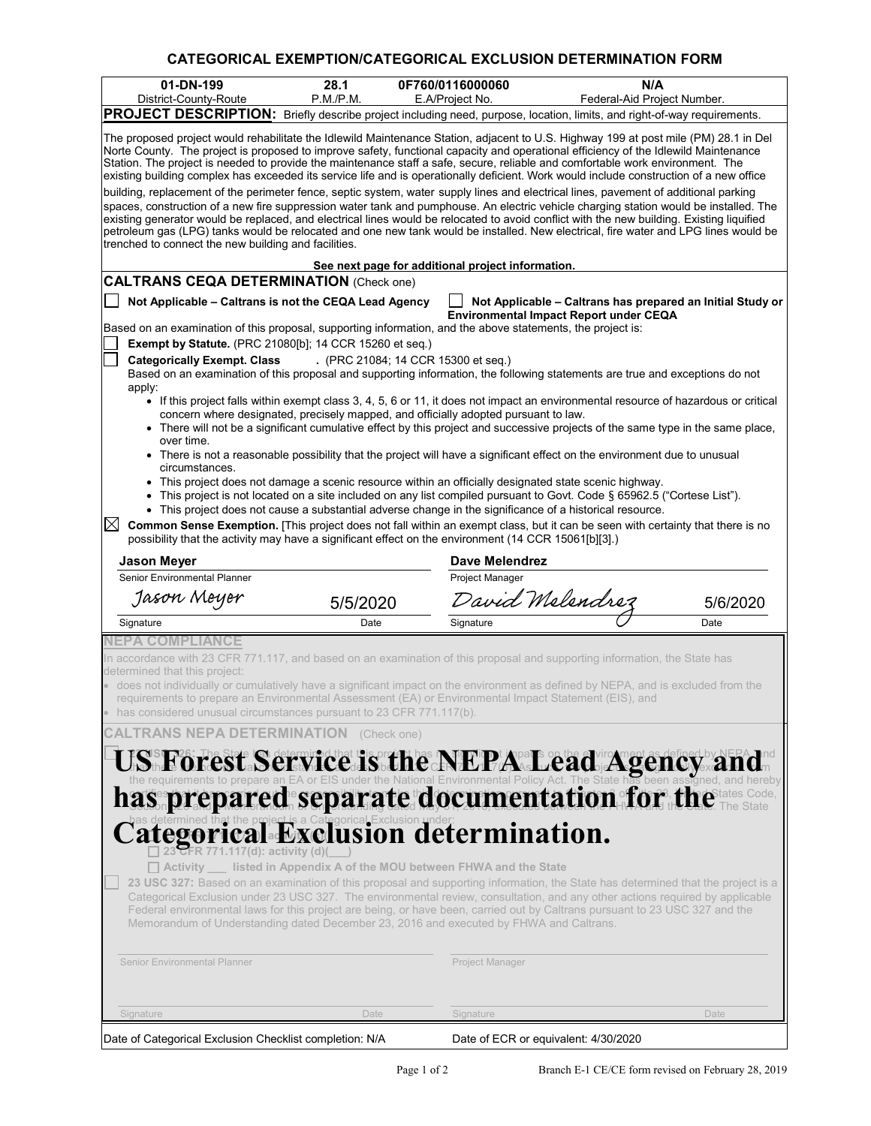## **CATEGORICAL EXEMPTION/CATEGORICAL EXCLUSION DETERMINATION FORM**

| 01-DN-199                                                                                                                                                                                                                                                                                                                                                                                                                                                                                                                                                                                                                                                                           | 28.1      | 0F760/0116000060                                           | N/A                                                                                                                       |          |  |  |
|-------------------------------------------------------------------------------------------------------------------------------------------------------------------------------------------------------------------------------------------------------------------------------------------------------------------------------------------------------------------------------------------------------------------------------------------------------------------------------------------------------------------------------------------------------------------------------------------------------------------------------------------------------------------------------------|-----------|------------------------------------------------------------|---------------------------------------------------------------------------------------------------------------------------|----------|--|--|
| District-County-Route                                                                                                                                                                                                                                                                                                                                                                                                                                                                                                                                                                                                                                                               | P.M./P.M. | E.A/Project No.                                            | Federal-Aid Project Number.                                                                                               |          |  |  |
| PROJECT DESCRIPTION: Briefly describe project including need, purpose, location, limits, and right-of-way requirements.<br>The proposed project would rehabilitate the Idlewild Maintenance Station, adjacent to U.S. Highway 199 at post mile (PM) 28.1 in Del<br>Norte County. The project is proposed to improve safety, functional capacity and operational efficiency of the Idlewild Maintenance<br>Station. The project is needed to provide the maintenance staff a safe, secure, reliable and comfortable work environment. The<br>existing building complex has exceeded its service life and is operationally deficient. Work would include construction of a new office |           |                                                            |                                                                                                                           |          |  |  |
| building, replacement of the perimeter fence, septic system, water supply lines and electrical lines, pavement of additional parking<br>spaces, construction of a new fire suppression water tank and pumphouse. An electric vehicle charging station would be installed. The<br>existing generator would be replaced, and electrical lines would be relocated to avoid conflict with the new building. Existing liquified<br>petroleum gas (LPG) tanks would be relocated and one new tank would be installed. New electrical, fire water and LPG lines would be<br>trenched to connect the new building and facilities.                                                           |           |                                                            |                                                                                                                           |          |  |  |
|                                                                                                                                                                                                                                                                                                                                                                                                                                                                                                                                                                                                                                                                                     |           | See next page for additional project information.          |                                                                                                                           |          |  |  |
| <b>CALTRANS CEQA DETERMINATION (Check one)</b>                                                                                                                                                                                                                                                                                                                                                                                                                                                                                                                                                                                                                                      |           |                                                            |                                                                                                                           |          |  |  |
| Not Applicable - Caltrans is not the CEQA Lead Agency                                                                                                                                                                                                                                                                                                                                                                                                                                                                                                                                                                                                                               |           |                                                            | Not Applicable - Caltrans has prepared an Initial Study or<br><b>Environmental Impact Report under CEQA</b>               |          |  |  |
| Based on an examination of this proposal, supporting information, and the above statements, the project is:                                                                                                                                                                                                                                                                                                                                                                                                                                                                                                                                                                         |           |                                                            |                                                                                                                           |          |  |  |
| <b>Exempt by Statute.</b> (PRC 21080[b]; 14 CCR 15260 et seq.)<br><b>Categorically Exempt. Class</b>                                                                                                                                                                                                                                                                                                                                                                                                                                                                                                                                                                                |           | . (PRC 21084; 14 CCR 15300 et seq.)                        |                                                                                                                           |          |  |  |
| Based on an examination of this proposal and supporting information, the following statements are true and exceptions do not                                                                                                                                                                                                                                                                                                                                                                                                                                                                                                                                                        |           |                                                            |                                                                                                                           |          |  |  |
| apply:<br>• If this project falls within exempt class 3, 4, 5, 6 or 11, it does not impact an environmental resource of hazardous or critical<br>concern where designated, precisely mapped, and officially adopted pursuant to law.<br>• There will not be a significant cumulative effect by this project and successive projects of the same type in the same place,                                                                                                                                                                                                                                                                                                             |           |                                                            |                                                                                                                           |          |  |  |
| over time.<br>circumstances.                                                                                                                                                                                                                                                                                                                                                                                                                                                                                                                                                                                                                                                        |           |                                                            | • There is not a reasonable possibility that the project will have a significant effect on the environment due to unusual |          |  |  |
| • This project does not damage a scenic resource within an officially designated state scenic highway.<br>• This project does not cause a substantial adverse change in the significance of a historical resource.                                                                                                                                                                                                                                                                                                                                                                                                                                                                  |           |                                                            | • This project is not located on a site included on any list compiled pursuant to Govt. Code § 65962.5 ("Cortese List").  |          |  |  |
| $\boxtimes$<br>Common Sense Exemption. [This project does not fall within an exempt class, but it can be seen with certainty that there is no<br>possibility that the activity may have a significant effect on the environment (14 CCR 15061[b][3].)                                                                                                                                                                                                                                                                                                                                                                                                                               |           |                                                            |                                                                                                                           |          |  |  |
| Jason Meyer                                                                                                                                                                                                                                                                                                                                                                                                                                                                                                                                                                                                                                                                         |           | Dave Melendrez                                             |                                                                                                                           |          |  |  |
| <b>Senior Environmental Planner</b><br>Jason Meyer                                                                                                                                                                                                                                                                                                                                                                                                                                                                                                                                                                                                                                  | 5/5/2020  | Project Manager                                            | David Melendrez                                                                                                           | 5/6/2020 |  |  |
| Signature                                                                                                                                                                                                                                                                                                                                                                                                                                                                                                                                                                                                                                                                           | Date      | Signature                                                  |                                                                                                                           | Date     |  |  |
| NEPA COMPLIANCE                                                                                                                                                                                                                                                                                                                                                                                                                                                                                                                                                                                                                                                                     |           |                                                            |                                                                                                                           |          |  |  |
| In accordance with 23 CFR 771.117, and based on an examination of this proposal and supporting information, the State has<br>determined that this project:<br>$\bullet\,$ does not individually or cumulatively have a significant impact on the environment as defined by NEPA, and is excluded from the                                                                                                                                                                                                                                                                                                                                                                           |           |                                                            |                                                                                                                           |          |  |  |
| requirements to prepare an Environmental Assessment (EA) or Environmental Impact Statement (EIS), and<br>has considered unusual circumstances pursuant to 23 CFR 771.117(b).                                                                                                                                                                                                                                                                                                                                                                                                                                                                                                        |           |                                                            |                                                                                                                           |          |  |  |
| <b>TRANS NEPA DETERMINATION</b> (Check one)                                                                                                                                                                                                                                                                                                                                                                                                                                                                                                                                                                                                                                         |           |                                                            |                                                                                                                           |          |  |  |
| UState of the state is determined that the project has NEPt page on the alwiroment as defined by NEPA and the requirements to prepare an EA or EIS under the National Environmental Policy Act. The State has been assigned, a                                                                                                                                                                                                                                                                                                                                                                                                                                                      |           |                                                            |                                                                                                                           |          |  |  |
|                                                                                                                                                                                                                                                                                                                                                                                                                                                                                                                                                                                                                                                                                     |           |                                                            |                                                                                                                           |          |  |  |
|                                                                                                                                                                                                                                                                                                                                                                                                                                                                                                                                                                                                                                                                                     |           |                                                            |                                                                                                                           |          |  |  |
|                                                                                                                                                                                                                                                                                                                                                                                                                                                                                                                                                                                                                                                                                     |           |                                                            |                                                                                                                           |          |  |  |
| Categorical a Categorical Exclusion under:<br>Exclusion determination.<br>$\Box$ Activity                                                                                                                                                                                                                                                                                                                                                                                                                                                                                                                                                                                           |           | listed in Appendix A of the MOU between FHWA and the State |                                                                                                                           |          |  |  |
| 23 USC 327: Based on an examination of this proposal and supporting information, the State has determined that the project is a<br>Categorical Exclusion under 23 USC 327. The environmental review, consultation, and any other actions required by applicable<br>Federal environmental laws for this project are being, or have been, carried out by Caltrans pursuant to 23 USC 327 and the<br>Memorandum of Understanding dated December 23, 2016 and executed by FHWA and Caltrans.                                                                                                                                                                                            |           |                                                            |                                                                                                                           |          |  |  |
| <b>Senior Environmental Planner</b>                                                                                                                                                                                                                                                                                                                                                                                                                                                                                                                                                                                                                                                 |           | Project Manager                                            |                                                                                                                           |          |  |  |
| Signature                                                                                                                                                                                                                                                                                                                                                                                                                                                                                                                                                                                                                                                                           | Date      | Signature                                                  |                                                                                                                           | Date     |  |  |